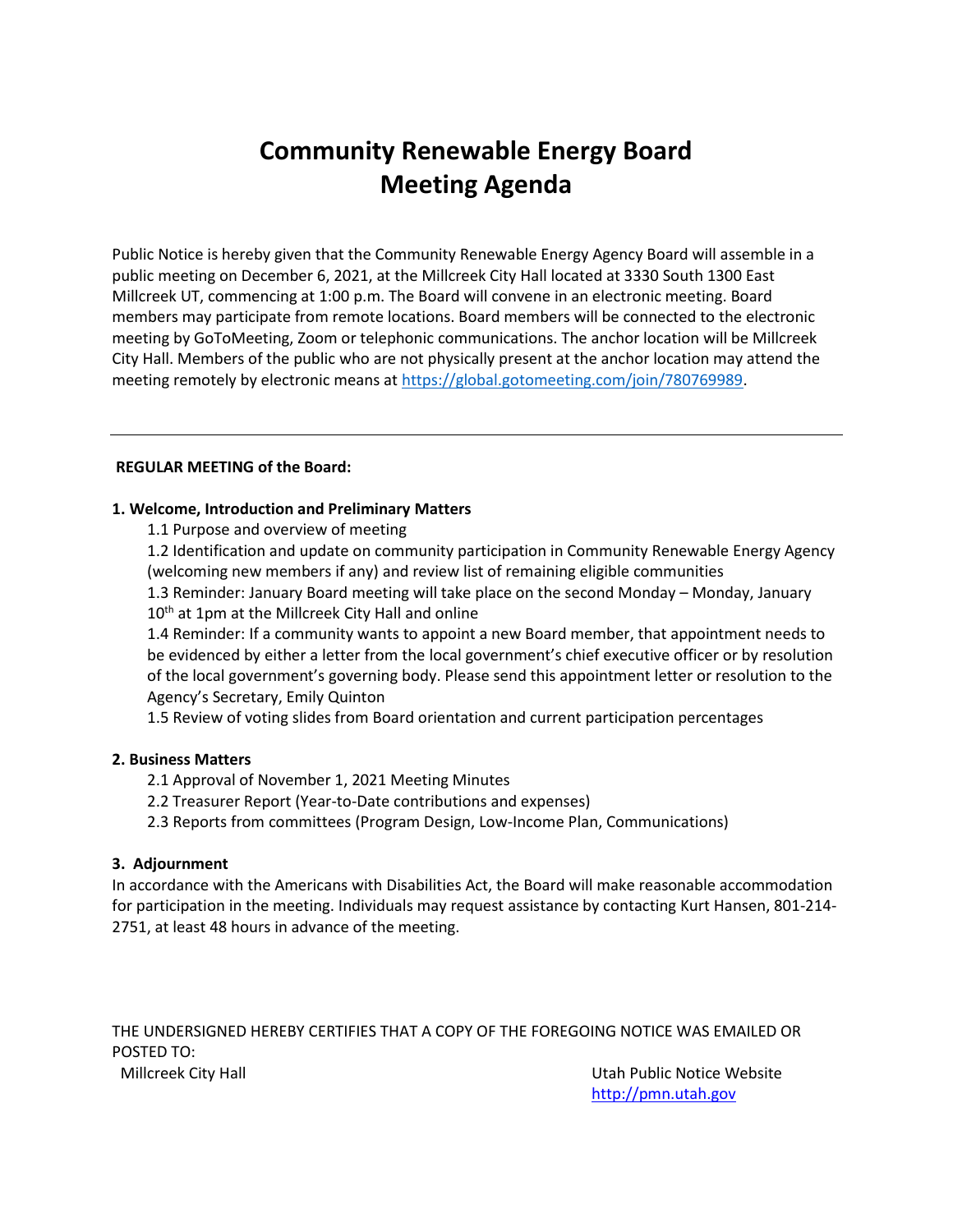# **Community Renewable Energy Board Meeting Agenda**

Public Notice is hereby given that the Community Renewable Energy Agency Board will assemble in a public meeting on December 6, 2021, at the Millcreek City Hall located at 3330 South 1300 East Millcreek UT, commencing at 1:00 p.m. The Board will convene in an electronic meeting. Board members may participate from remote locations. Board members will be connected to the electronic meeting by GoToMeeting, Zoom or telephonic communications. The anchor location will be Millcreek City Hall. Members of the public who are not physically present at the anchor location may attend the meeting remotely by electronic means at [https://global.gotomeeting.com/join/780769989.](https://nam12.safelinks.protection.outlook.com/?url=https%3A%2F%2Fglobal.gotomeeting.com%2Fjoin%2F780769989&data=04%7C01%7Cequinton%40summitcounty.org%7C511dbccf293b4b6307f708d9b3659a7f%7C497f0086ed7845149cc43715b1894e4e%7C0%7C0%7C637738071237767956%7CUnknown%7CTWFpbGZsb3d8eyJWIjoiMC4wLjAwMDAiLCJQIjoiV2luMzIiLCJBTiI6Ik1haWwiLCJXVCI6Mn0%3D%7C3000&sdata=2gTzSqa%2FS0AvX9m49X6MbwUGwgo0Hi8q2yb1DHTZnEQ%3D&reserved=0)

## **REGULAR MEETING of the Board:**

## **1. Welcome, Introduction and Preliminary Matters**

1.1 Purpose and overview of meeting

1.2 Identification and update on community participation in Community Renewable Energy Agency (welcoming new members if any) and review list of remaining eligible communities

1.3 Reminder: January Board meeting will take place on the second Monday – Monday, January  $10<sup>th</sup>$  at 1pm at the Millcreek City Hall and online

1.4 Reminder: If a community wants to appoint a new Board member, that appointment needs to be evidenced by either a letter from the local government's chief executive officer or by resolution of the local government's governing body. Please send this appointment letter or resolution to the Agency's Secretary, Emily Quinton

1.5 Review of voting slides from Board orientation and current participation percentages

## **2. Business Matters**

- 2.1 Approval of November 1, 2021 Meeting Minutes
- 2.2 Treasurer Report (Year-to-Date contributions and expenses)
- 2.3 Reports from committees (Program Design, Low-Income Plan, Communications)

## **3. Adjournment**

In accordance with the Americans with Disabilities Act, the Board will make reasonable accommodation for participation in the meeting. Individuals may request assistance by contacting Kurt Hansen, 801-214- 2751, at least 48 hours in advance of the meeting.

THE UNDERSIGNED HEREBY CERTIFIES THAT A COPY OF THE FOREGOING NOTICE WAS EMAILED OR POSTED TO: Millcreek City Hall Utah Public Notice Website

[http://pmn.utah.gov](http://pmn.utah.gov/)